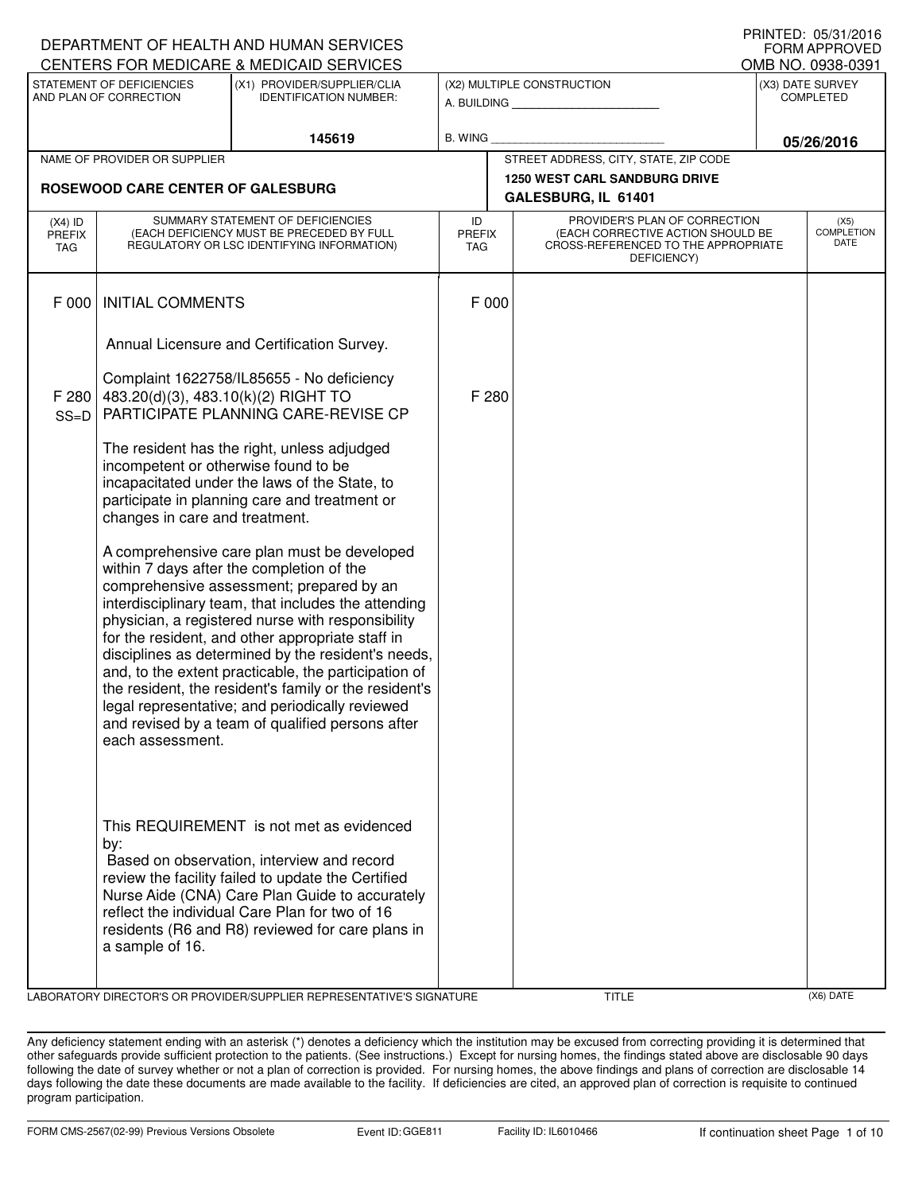|                                   |                                                                        | DEPARTMENT OF HEALTH AND HUMAN SERVICES                                                                                                                                                                                                                                                                                                                                                                                                                                                                                                                                            |                            |                                                                                                                          | <b>FORM APPROVED</b>                     |
|-----------------------------------|------------------------------------------------------------------------|------------------------------------------------------------------------------------------------------------------------------------------------------------------------------------------------------------------------------------------------------------------------------------------------------------------------------------------------------------------------------------------------------------------------------------------------------------------------------------------------------------------------------------------------------------------------------------|----------------------------|--------------------------------------------------------------------------------------------------------------------------|------------------------------------------|
|                                   |                                                                        | CENTERS FOR MEDICARE & MEDICAID SERVICES                                                                                                                                                                                                                                                                                                                                                                                                                                                                                                                                           |                            |                                                                                                                          | OMB NO. 0938-0391                        |
|                                   | STATEMENT OF DEFICIENCIES<br>AND PLAN OF CORRECTION                    | (X1) PROVIDER/SUPPLIER/CLIA<br><b>IDENTIFICATION NUMBER:</b>                                                                                                                                                                                                                                                                                                                                                                                                                                                                                                                       |                            | (X2) MULTIPLE CONSTRUCTION<br>A. BUILDING AND AN INCOME.                                                                 | (X3) DATE SURVEY<br>COMPLETED            |
|                                   |                                                                        | 145619                                                                                                                                                                                                                                                                                                                                                                                                                                                                                                                                                                             | B. WING                    |                                                                                                                          | 05/26/2016                               |
|                                   | NAME OF PROVIDER OR SUPPLIER                                           |                                                                                                                                                                                                                                                                                                                                                                                                                                                                                                                                                                                    |                            | STREET ADDRESS, CITY, STATE, ZIP CODE                                                                                    |                                          |
|                                   | ROSEWOOD CARE CENTER OF GALESBURG                                      |                                                                                                                                                                                                                                                                                                                                                                                                                                                                                                                                                                                    |                            | <b>1250 WEST CARL SANDBURG DRIVE</b><br>GALESBURG, IL 61401                                                              |                                          |
| $(X4)$ ID<br><b>PREFIX</b><br>TAG |                                                                        | SUMMARY STATEMENT OF DEFICIENCIES<br>(EACH DEFICIENCY MUST BE PRECEDED BY FULL<br>REGULATORY OR LSC IDENTIFYING INFORMATION)                                                                                                                                                                                                                                                                                                                                                                                                                                                       | ID<br><b>PREFIX</b><br>TAG | PROVIDER'S PLAN OF CORRECTION<br>(EACH CORRECTIVE ACTION SHOULD BE<br>CROSS-REFERENCED TO THE APPROPRIATE<br>DEFICIENCY) | (X5)<br><b>COMPLETION</b><br><b>DATE</b> |
| F 000                             | <b>INITIAL COMMENTS</b>                                                |                                                                                                                                                                                                                                                                                                                                                                                                                                                                                                                                                                                    | F 000                      |                                                                                                                          |                                          |
|                                   |                                                                        | Annual Licensure and Certification Survey.                                                                                                                                                                                                                                                                                                                                                                                                                                                                                                                                         |                            |                                                                                                                          |                                          |
| F 280<br>$SS=D$                   | 483.20(d)(3), 483.10(k)(2) RIGHT TO                                    | Complaint 1622758/IL85655 - No deficiency<br>PARTICIPATE PLANNING CARE-REVISE CP                                                                                                                                                                                                                                                                                                                                                                                                                                                                                                   | F 280                      |                                                                                                                          |                                          |
|                                   | incompetent or otherwise found to be<br>changes in care and treatment. | The resident has the right, unless adjudged<br>incapacitated under the laws of the State, to<br>participate in planning care and treatment or                                                                                                                                                                                                                                                                                                                                                                                                                                      |                            |                                                                                                                          |                                          |
|                                   | each assessment.                                                       | A comprehensive care plan must be developed<br>within 7 days after the completion of the<br>comprehensive assessment; prepared by an<br>interdisciplinary team, that includes the attending<br>physician, a registered nurse with responsibility<br>for the resident, and other appropriate staff in<br>disciplines as determined by the resident's needs,<br>and, to the extent practicable, the participation of<br>the resident, the resident's family or the resident's<br>legal representative; and periodically reviewed<br>and revised by a team of qualified persons after |                            |                                                                                                                          |                                          |
|                                   | by:<br>a sample of 16.                                                 | This REQUIREMENT is not met as evidenced<br>Based on observation, interview and record<br>review the facility failed to update the Certified<br>Nurse Aide (CNA) Care Plan Guide to accurately<br>reflect the individual Care Plan for two of 16<br>residents (R6 and R8) reviewed for care plans in                                                                                                                                                                                                                                                                               |                            |                                                                                                                          |                                          |

LABORATORY DIRECTOR'S OR PROVIDER/SUPPLIER REPRESENTATIVE'S SIGNATURE TITLE (X6) DATE

PRINTED: 05/31/2016

Any deficiency statement ending with an asterisk (\*) denotes a deficiency which the institution may be excused from correcting providing it is determined that other safeguards provide sufficient protection to the patients. (See instructions.) Except for nursing homes, the findings stated above are disclosable 90 days following the date of survey whether or not a plan of correction is provided. For nursing homes, the above findings and plans of correction are disclosable 14 days following the date these documents are made available to the facility. If deficiencies are cited, an approved plan of correction is requisite to continued program participation.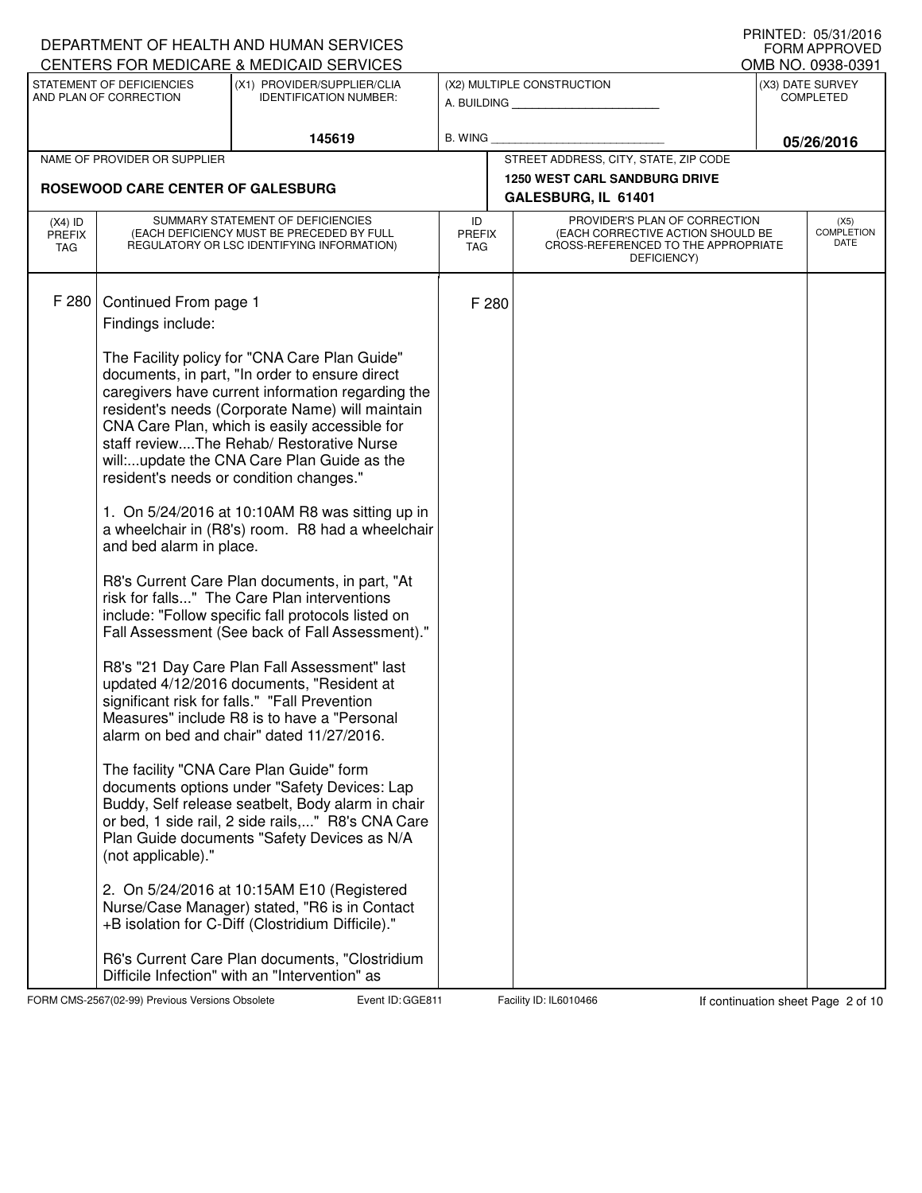|                      |                                          | DEPARTMENT OF HEALTH AND HUMAN SERVICES<br>CENTERS FOR MEDICARE & MEDICAID SERVICES                   |                             |       |                                                                          | U INIVILD. VJ/JI/LVIV<br><b>FORM APPROVED</b> |
|----------------------|------------------------------------------|-------------------------------------------------------------------------------------------------------|-----------------------------|-------|--------------------------------------------------------------------------|-----------------------------------------------|
|                      | STATEMENT OF DEFICIENCIES                | (X1) PROVIDER/SUPPLIER/CLIA                                                                           |                             |       | (X2) MULTIPLE CONSTRUCTION                                               | OMB NO. 0938-0391<br>(X3) DATE SURVEY         |
|                      | AND PLAN OF CORRECTION                   | <b>IDENTIFICATION NUMBER:</b>                                                                         |                             |       | A. BUILDING                                                              | <b>COMPLETED</b>                              |
|                      |                                          | 145619                                                                                                | B. WING                     |       |                                                                          | 05/26/2016                                    |
|                      | NAME OF PROVIDER OR SUPPLIER             |                                                                                                       |                             |       | STREET ADDRESS, CITY, STATE, ZIP CODE                                    |                                               |
|                      | <b>ROSEWOOD CARE CENTER OF GALESBURG</b> |                                                                                                       |                             |       | <b>1250 WEST CARL SANDBURG DRIVE</b><br>GALESBURG, IL 61401              |                                               |
| $(X4)$ ID            |                                          | SUMMARY STATEMENT OF DEFICIENCIES                                                                     | ID                          |       | PROVIDER'S PLAN OF CORRECTION                                            | (X5)                                          |
| <b>PREFIX</b><br>TAG |                                          | (EACH DEFICIENCY MUST BE PRECEDED BY FULL<br>REGULATORY OR LSC IDENTIFYING INFORMATION)               | <b>PREFIX</b><br><b>TAG</b> |       | (EACH CORRECTIVE ACTION SHOULD BE<br>CROSS-REFERENCED TO THE APPROPRIATE | <b>COMPLETION</b><br>DATE                     |
|                      |                                          |                                                                                                       |                             |       | DEFICIENCY)                                                              |                                               |
| F 280                | Continued From page 1                    |                                                                                                       |                             | F 280 |                                                                          |                                               |
|                      | Findings include:                        |                                                                                                       |                             |       |                                                                          |                                               |
|                      |                                          |                                                                                                       |                             |       |                                                                          |                                               |
|                      |                                          | The Facility policy for "CNA Care Plan Guide"<br>documents, in part, "In order to ensure direct       |                             |       |                                                                          |                                               |
|                      |                                          | caregivers have current information regarding the                                                     |                             |       |                                                                          |                                               |
|                      |                                          | resident's needs (Corporate Name) will maintain<br>CNA Care Plan, which is easily accessible for      |                             |       |                                                                          |                                               |
|                      |                                          | staff reviewThe Rehab/ Restorative Nurse                                                              |                             |       |                                                                          |                                               |
|                      |                                          | will:update the CNA Care Plan Guide as the<br>resident's needs or condition changes."                 |                             |       |                                                                          |                                               |
|                      |                                          |                                                                                                       |                             |       |                                                                          |                                               |
|                      | and bed alarm in place.                  | 1. On 5/24/2016 at 10:10AM R8 was sitting up in<br>a wheelchair in (R8's) room. R8 had a wheelchair   |                             |       |                                                                          |                                               |
|                      |                                          | R8's Current Care Plan documents, in part, "At                                                        |                             |       |                                                                          |                                               |
|                      |                                          | risk for falls" The Care Plan interventions                                                           |                             |       |                                                                          |                                               |
|                      |                                          | include: "Follow specific fall protocols listed on<br>Fall Assessment (See back of Fall Assessment)." |                             |       |                                                                          |                                               |
|                      |                                          | R8's "21 Day Care Plan Fall Assessment" last                                                          |                             |       |                                                                          |                                               |
|                      |                                          | updated 4/12/2016 documents, "Resident at<br>significant risk for falls." "Fall Prevention            |                             |       |                                                                          |                                               |
|                      |                                          | Measures" include R8 is to have a "Personal                                                           |                             |       |                                                                          |                                               |
|                      |                                          | alarm on bed and chair" dated 11/27/2016.                                                             |                             |       |                                                                          |                                               |
|                      |                                          | The facility "CNA Care Plan Guide" form                                                               |                             |       |                                                                          |                                               |
|                      |                                          | documents options under "Safety Devices: Lap<br>Buddy, Self release seatbelt, Body alarm in chair     |                             |       |                                                                          |                                               |
|                      |                                          | or bed, 1 side rail, 2 side rails," R8's CNA Care                                                     |                             |       |                                                                          |                                               |
|                      | (not applicable)."                       | Plan Guide documents "Safety Devices as N/A                                                           |                             |       |                                                                          |                                               |
|                      |                                          | 2. On 5/24/2016 at 10:15AM E10 (Registered                                                            |                             |       |                                                                          |                                               |
|                      |                                          | Nurse/Case Manager) stated, "R6 is in Contact<br>+B isolation for C-Diff (Clostridium Difficile)."    |                             |       |                                                                          |                                               |
|                      |                                          | R6's Current Care Plan documents, "Clostridium<br>Difficile Infection" with an "Intervention" as      |                             |       |                                                                          |                                               |

FORM CMS-2567(02-99) Previous Versions Obsolete Event ID: GGE811 Facility ID: IL6010466 If continuation sheet Page 2 of 10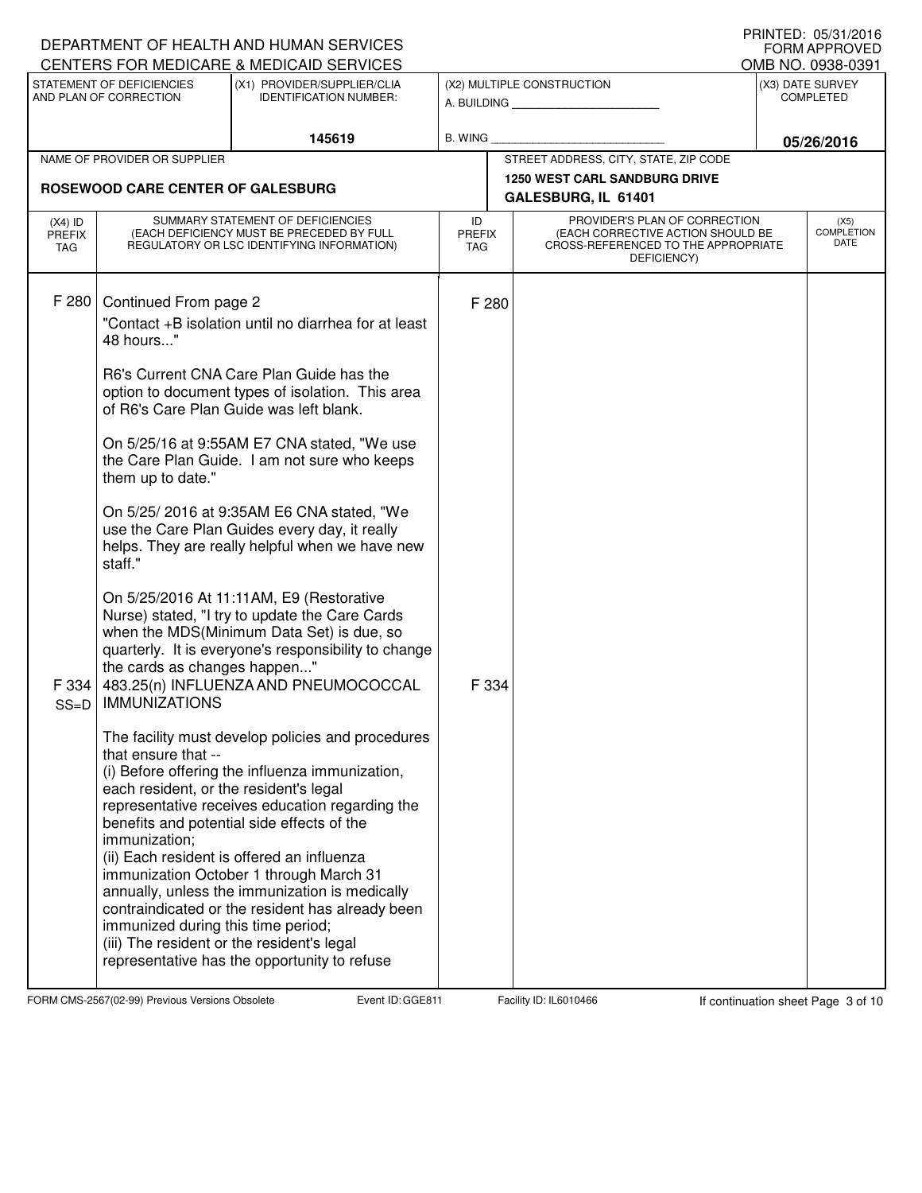|                                          |                                                                                  | DEPARTMENT OF HEALTH AND HUMAN SERVICES<br>CENTERS FOR MEDICARE & MEDICAID SERVICES                                                                                                                                                                                                                                                              |                                   |                                                                                                                          |                               | <b>I IUIN ILLU. UJ/J I/ZU IU</b><br><b>FORM APPROVED</b><br>OMB NO. 0938-0391 |
|------------------------------------------|----------------------------------------------------------------------------------|--------------------------------------------------------------------------------------------------------------------------------------------------------------------------------------------------------------------------------------------------------------------------------------------------------------------------------------------------|-----------------------------------|--------------------------------------------------------------------------------------------------------------------------|-------------------------------|-------------------------------------------------------------------------------|
|                                          | STATEMENT OF DEFICIENCIES<br>AND PLAN OF CORRECTION                              | (X1) PROVIDER/SUPPLIER/CLIA<br><b>IDENTIFICATION NUMBER:</b>                                                                                                                                                                                                                                                                                     |                                   | (X2) MULTIPLE CONSTRUCTION<br>A. BUILDING <b>A.</b> BUILDING                                                             | (X3) DATE SURVEY<br>COMPLETED |                                                                               |
|                                          |                                                                                  | 145619                                                                                                                                                                                                                                                                                                                                           | <b>B. WING</b>                    |                                                                                                                          |                               | 05/26/2016                                                                    |
|                                          | NAME OF PROVIDER OR SUPPLIER                                                     |                                                                                                                                                                                                                                                                                                                                                  |                                   | STREET ADDRESS, CITY, STATE, ZIP CODE                                                                                    |                               |                                                                               |
|                                          | <b>ROSEWOOD CARE CENTER OF GALESBURG</b>                                         |                                                                                                                                                                                                                                                                                                                                                  |                                   | <b>1250 WEST CARL SANDBURG DRIVE</b>                                                                                     |                               |                                                                               |
|                                          |                                                                                  |                                                                                                                                                                                                                                                                                                                                                  |                                   | GALESBURG, IL 61401                                                                                                      |                               |                                                                               |
| $(X4)$ ID<br><b>PREFIX</b><br><b>TAG</b> |                                                                                  | SUMMARY STATEMENT OF DEFICIENCIES<br>(EACH DEFICIENCY MUST BE PRECEDED BY FULL<br>REGULATORY OR LSC IDENTIFYING INFORMATION)                                                                                                                                                                                                                     | ID<br><b>PREFIX</b><br><b>TAG</b> | PROVIDER'S PLAN OF CORRECTION<br>(EACH CORRECTIVE ACTION SHOULD BE<br>CROSS-REFERENCED TO THE APPROPRIATE<br>DEFICIENCY) |                               | (X5)<br><b>COMPLETION</b><br>DATE                                             |
| F 280                                    |                                                                                  |                                                                                                                                                                                                                                                                                                                                                  |                                   |                                                                                                                          |                               |                                                                               |
|                                          | Continued From page 2<br>48 hours"                                               | "Contact +B isolation until no diarrhea for at least                                                                                                                                                                                                                                                                                             | F 280                             |                                                                                                                          |                               |                                                                               |
|                                          |                                                                                  | R6's Current CNA Care Plan Guide has the<br>option to document types of isolation. This area<br>of R6's Care Plan Guide was left blank.                                                                                                                                                                                                          |                                   |                                                                                                                          |                               |                                                                               |
|                                          | them up to date."                                                                | On 5/25/16 at 9:55AM E7 CNA stated, "We use<br>the Care Plan Guide. I am not sure who keeps                                                                                                                                                                                                                                                      |                                   |                                                                                                                          |                               |                                                                               |
|                                          | staff."                                                                          | On 5/25/2016 at 9:35AM E6 CNA stated, "We<br>use the Care Plan Guides every day, it really<br>helps. They are really helpful when we have new                                                                                                                                                                                                    |                                   |                                                                                                                          |                               |                                                                               |
| F 334<br>$SS=D$                          | the cards as changes happen"<br><b>IMMUNIZATIONS</b>                             | On 5/25/2016 At 11:11AM, E9 (Restorative<br>Nurse) stated, "I try to update the Care Cards<br>when the MDS(Minimum Data Set) is due, so<br>quarterly. It is everyone's responsibility to change<br>483.25(n) INFLUENZA AND PNEUMOCOCCAL                                                                                                          | F 334                             |                                                                                                                          |                               |                                                                               |
|                                          | that ensure that --<br>each resident, or the resident's legal<br>immunization;   | The facility must develop policies and procedures<br>(i) Before offering the influenza immunization,<br>representative receives education regarding the<br>benefits and potential side effects of the<br>(ii) Each resident is offered an influenza<br>immunization October 1 through March 31<br>annually, unless the immunization is medically |                                   |                                                                                                                          |                               |                                                                               |
|                                          | immunized during this time period;<br>(iii) The resident or the resident's legal | contraindicated or the resident has already been<br>representative has the opportunity to refuse                                                                                                                                                                                                                                                 |                                   |                                                                                                                          |                               |                                                                               |

FORM CMS-2567(02-99) Previous Versions Obsolete Event ID: GGE811 Facility ID: IL6010466 If continuation sheet Page 3 of 10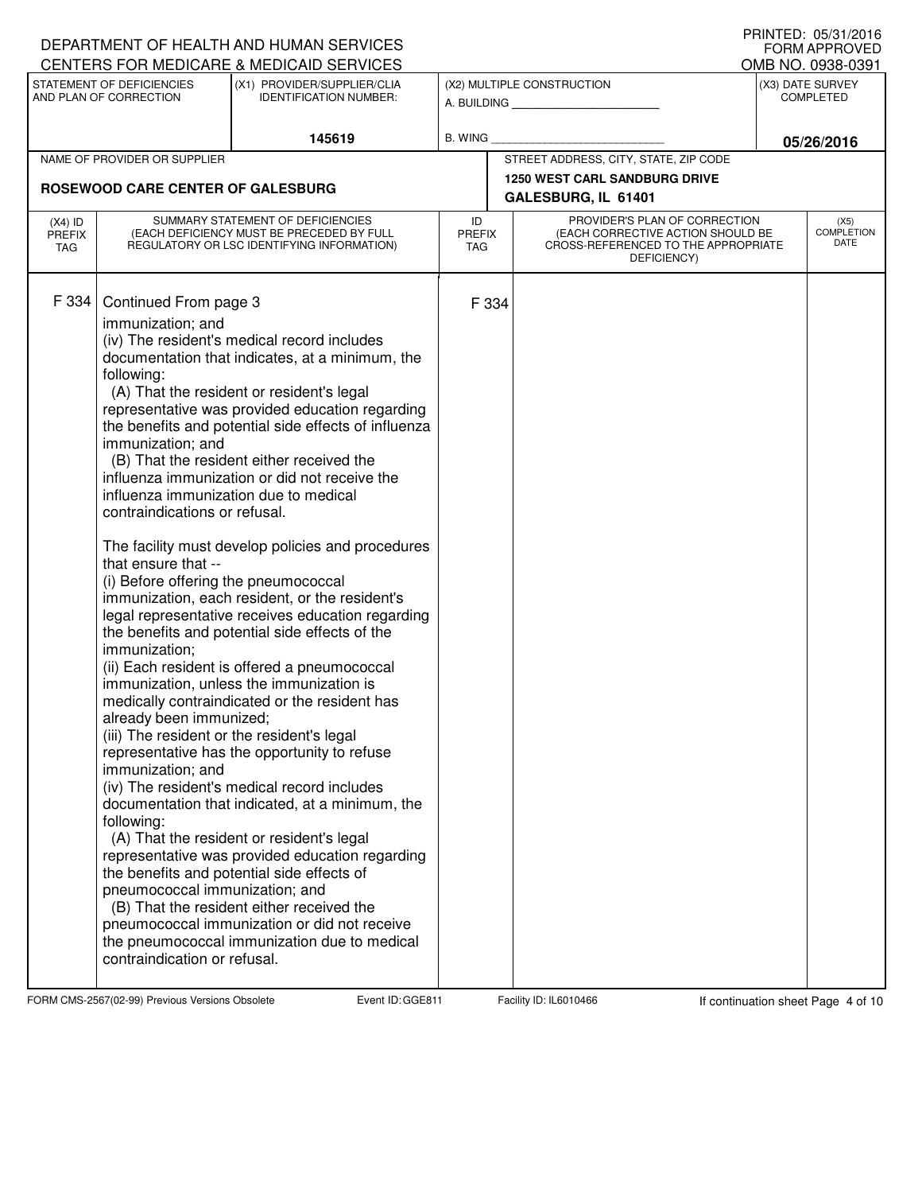|                                          |                                                                                                                                                                                                                                                                                                                                                                                                                       | DEPARTMENT OF HEALTH AND HUMAN SERVICES<br>CENTERS FOR MEDICARE & MEDICAID SERVICES                                                                                                                                                                                                                                                                                                                                                                                                                                                                                                                                                                                                                                                                                                                                                                                                                                                                                                                                                                                                                                                                          |                                   |                                                                                                                          | U INIVILD. VJ/JI/LVIV<br><b>FORM APPROVED</b><br>OMB NO. 0938-0391 |
|------------------------------------------|-----------------------------------------------------------------------------------------------------------------------------------------------------------------------------------------------------------------------------------------------------------------------------------------------------------------------------------------------------------------------------------------------------------------------|--------------------------------------------------------------------------------------------------------------------------------------------------------------------------------------------------------------------------------------------------------------------------------------------------------------------------------------------------------------------------------------------------------------------------------------------------------------------------------------------------------------------------------------------------------------------------------------------------------------------------------------------------------------------------------------------------------------------------------------------------------------------------------------------------------------------------------------------------------------------------------------------------------------------------------------------------------------------------------------------------------------------------------------------------------------------------------------------------------------------------------------------------------------|-----------------------------------|--------------------------------------------------------------------------------------------------------------------------|--------------------------------------------------------------------|
|                                          | STATEMENT OF DEFICIENCIES<br>AND PLAN OF CORRECTION                                                                                                                                                                                                                                                                                                                                                                   | (X1) PROVIDER/SUPPLIER/CLIA<br><b>IDENTIFICATION NUMBER:</b>                                                                                                                                                                                                                                                                                                                                                                                                                                                                                                                                                                                                                                                                                                                                                                                                                                                                                                                                                                                                                                                                                                 |                                   | (X2) MULTIPLE CONSTRUCTION<br>A. BUILDING <b>A.</b> BUILDING                                                             | (X3) DATE SURVEY<br><b>COMPLETED</b>                               |
|                                          |                                                                                                                                                                                                                                                                                                                                                                                                                       | 145619                                                                                                                                                                                                                                                                                                                                                                                                                                                                                                                                                                                                                                                                                                                                                                                                                                                                                                                                                                                                                                                                                                                                                       | B. WING                           |                                                                                                                          | 05/26/2016                                                         |
|                                          | NAME OF PROVIDER OR SUPPLIER                                                                                                                                                                                                                                                                                                                                                                                          |                                                                                                                                                                                                                                                                                                                                                                                                                                                                                                                                                                                                                                                                                                                                                                                                                                                                                                                                                                                                                                                                                                                                                              |                                   | STREET ADDRESS, CITY, STATE, ZIP CODE                                                                                    |                                                                    |
|                                          | ROSEWOOD CARE CENTER OF GALESBURG                                                                                                                                                                                                                                                                                                                                                                                     |                                                                                                                                                                                                                                                                                                                                                                                                                                                                                                                                                                                                                                                                                                                                                                                                                                                                                                                                                                                                                                                                                                                                                              |                                   | <b>1250 WEST CARL SANDBURG DRIVE</b><br>GALESBURG, IL 61401                                                              |                                                                    |
| $(X4)$ ID<br><b>PREFIX</b><br><b>TAG</b> |                                                                                                                                                                                                                                                                                                                                                                                                                       | SUMMARY STATEMENT OF DEFICIENCIES<br>(EACH DEFICIENCY MUST BE PRECEDED BY FULL<br>REGULATORY OR LSC IDENTIFYING INFORMATION)                                                                                                                                                                                                                                                                                                                                                                                                                                                                                                                                                                                                                                                                                                                                                                                                                                                                                                                                                                                                                                 | ID<br><b>PREFIX</b><br><b>TAG</b> | PROVIDER'S PLAN OF CORRECTION<br>(EACH CORRECTIVE ACTION SHOULD BE<br>CROSS-REFERENCED TO THE APPROPRIATE<br>DEFICIENCY) | (X5)<br><b>COMPLETION</b><br>DATE                                  |
| F 334                                    | Continued From page 3<br>immunization; and<br>following:<br>immunization; and<br>influenza immunization due to medical<br>contraindications or refusal.<br>that ensure that --<br>(i) Before offering the pneumococcal<br>immunization;<br>already been immunized;<br>(iii) The resident or the resident's legal<br>immunization; and<br>following:<br>pneumococcal immunization; and<br>contraindication or refusal. | (iv) The resident's medical record includes<br>documentation that indicates, at a minimum, the<br>(A) That the resident or resident's legal<br>representative was provided education regarding<br>the benefits and potential side effects of influenza<br>(B) That the resident either received the<br>influenza immunization or did not receive the<br>The facility must develop policies and procedures<br>immunization, each resident, or the resident's<br>legal representative receives education regarding<br>the benefits and potential side effects of the<br>(ii) Each resident is offered a pneumococcal<br>immunization, unless the immunization is<br>medically contraindicated or the resident has<br>representative has the opportunity to refuse<br>(iv) The resident's medical record includes<br>documentation that indicated, at a minimum, the<br>(A) That the resident or resident's legal<br>representative was provided education regarding<br>the benefits and potential side effects of<br>(B) That the resident either received the<br>pneumococcal immunization or did not receive<br>the pneumococcal immunization due to medical | F 334                             |                                                                                                                          |                                                                    |

FORM CMS-2567(02-99) Previous Versions Obsolete Event ID: GGE811 Facility ID: IL6010466 If continuation sheet Page 4 of 10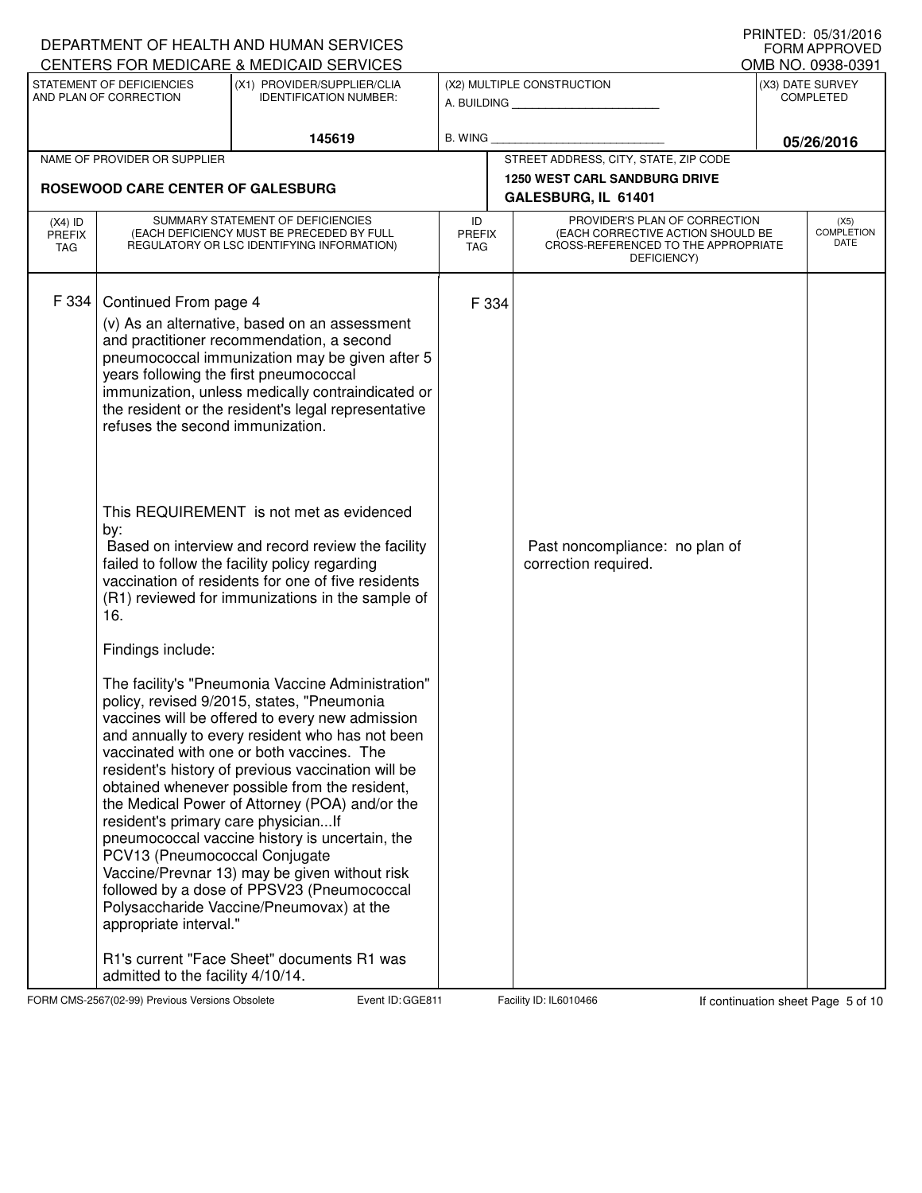|                                   |                                                                                                     | DEPARTMENT OF HEALTH AND HUMAN SERVICES                                                                                                                                                                                                                                                                                                                                                                                                                                                                                                                                                                  |                                   |                                                                                                                          |  | I I IIII I LU. VJ/J I ZU I V<br><b>FORM APPROVED</b> |
|-----------------------------------|-----------------------------------------------------------------------------------------------------|----------------------------------------------------------------------------------------------------------------------------------------------------------------------------------------------------------------------------------------------------------------------------------------------------------------------------------------------------------------------------------------------------------------------------------------------------------------------------------------------------------------------------------------------------------------------------------------------------------|-----------------------------------|--------------------------------------------------------------------------------------------------------------------------|--|------------------------------------------------------|
|                                   | STATEMENT OF DEFICIENCIES                                                                           | CENTERS FOR MEDICARE & MEDICAID SERVICES<br>(X1) PROVIDER/SUPPLIER/CLIA                                                                                                                                                                                                                                                                                                                                                                                                                                                                                                                                  |                                   | (X2) MULTIPLE CONSTRUCTION                                                                                               |  | OMB NO. 0938-0391<br>(X3) DATE SURVEY                |
|                                   | AND PLAN OF CORRECTION                                                                              | <b>IDENTIFICATION NUMBER:</b>                                                                                                                                                                                                                                                                                                                                                                                                                                                                                                                                                                            |                                   | A. BUILDING <b>A.</b> BUILDING                                                                                           |  | <b>COMPLETED</b>                                     |
|                                   |                                                                                                     | 145619                                                                                                                                                                                                                                                                                                                                                                                                                                                                                                                                                                                                   | B. WING                           |                                                                                                                          |  | 05/26/2016                                           |
|                                   | NAME OF PROVIDER OR SUPPLIER                                                                        |                                                                                                                                                                                                                                                                                                                                                                                                                                                                                                                                                                                                          |                                   | STREET ADDRESS, CITY, STATE, ZIP CODE                                                                                    |  |                                                      |
|                                   | ROSEWOOD CARE CENTER OF GALESBURG                                                                   |                                                                                                                                                                                                                                                                                                                                                                                                                                                                                                                                                                                                          |                                   | <b>1250 WEST CARL SANDBURG DRIVE</b><br>GALESBURG, IL 61401                                                              |  |                                                      |
|                                   |                                                                                                     |                                                                                                                                                                                                                                                                                                                                                                                                                                                                                                                                                                                                          |                                   |                                                                                                                          |  |                                                      |
| $(X4)$ ID<br><b>PREFIX</b><br>TAG |                                                                                                     | SUMMARY STATEMENT OF DEFICIENCIES<br>(EACH DEFICIENCY MUST BE PRECEDED BY FULL<br>REGULATORY OR LSC IDENTIFYING INFORMATION)                                                                                                                                                                                                                                                                                                                                                                                                                                                                             | ID<br><b>PREFIX</b><br><b>TAG</b> | PROVIDER'S PLAN OF CORRECTION<br>(EACH CORRECTIVE ACTION SHOULD BE<br>CROSS-REFERENCED TO THE APPROPRIATE<br>DEFICIENCY) |  | (X5)<br><b>COMPLETION</b><br>DATE                    |
| F 334                             | Continued From page 4<br>years following the first pneumococcal<br>refuses the second immunization. | (v) As an alternative, based on an assessment<br>and practitioner recommendation, a second<br>pneumococcal immunization may be given after 5<br>immunization, unless medically contraindicated or<br>the resident or the resident's legal representative                                                                                                                                                                                                                                                                                                                                                 | F 334                             |                                                                                                                          |  |                                                      |
|                                   | by:<br>16.                                                                                          | This REQUIREMENT is not met as evidenced<br>Based on interview and record review the facility<br>failed to follow the facility policy regarding<br>vaccination of residents for one of five residents<br>(R1) reviewed for immunizations in the sample of                                                                                                                                                                                                                                                                                                                                                |                                   | Past noncompliance: no plan of<br>correction required.                                                                   |  |                                                      |
|                                   | Findings include:                                                                                   |                                                                                                                                                                                                                                                                                                                                                                                                                                                                                                                                                                                                          |                                   |                                                                                                                          |  |                                                      |
|                                   | resident's primary care physicianIf<br>PCV13 (Pneumococcal Conjugate<br>appropriate interval."      | The facility's "Pneumonia Vaccine Administration"<br>policy, revised 9/2015, states, "Pneumonia<br>vaccines will be offered to every new admission<br>and annually to every resident who has not been<br>vaccinated with one or both vaccines. The<br>resident's history of previous vaccination will be<br>obtained whenever possible from the resident,<br>the Medical Power of Attorney (POA) and/or the<br>pneumococcal vaccine history is uncertain, the<br>Vaccine/Prevnar 13) may be given without risk<br>followed by a dose of PPSV23 (Pneumococcal<br>Polysaccharide Vaccine/Pneumovax) at the |                                   |                                                                                                                          |  |                                                      |
|                                   | admitted to the facility 4/10/14.                                                                   | R1's current "Face Sheet" documents R1 was                                                                                                                                                                                                                                                                                                                                                                                                                                                                                                                                                               |                                   |                                                                                                                          |  |                                                      |

FORM CMS-2567(02-99) Previous Versions Obsolete Event ID: GGE811 Facility ID: IL6010466 If continuation sheet Page 5 of 10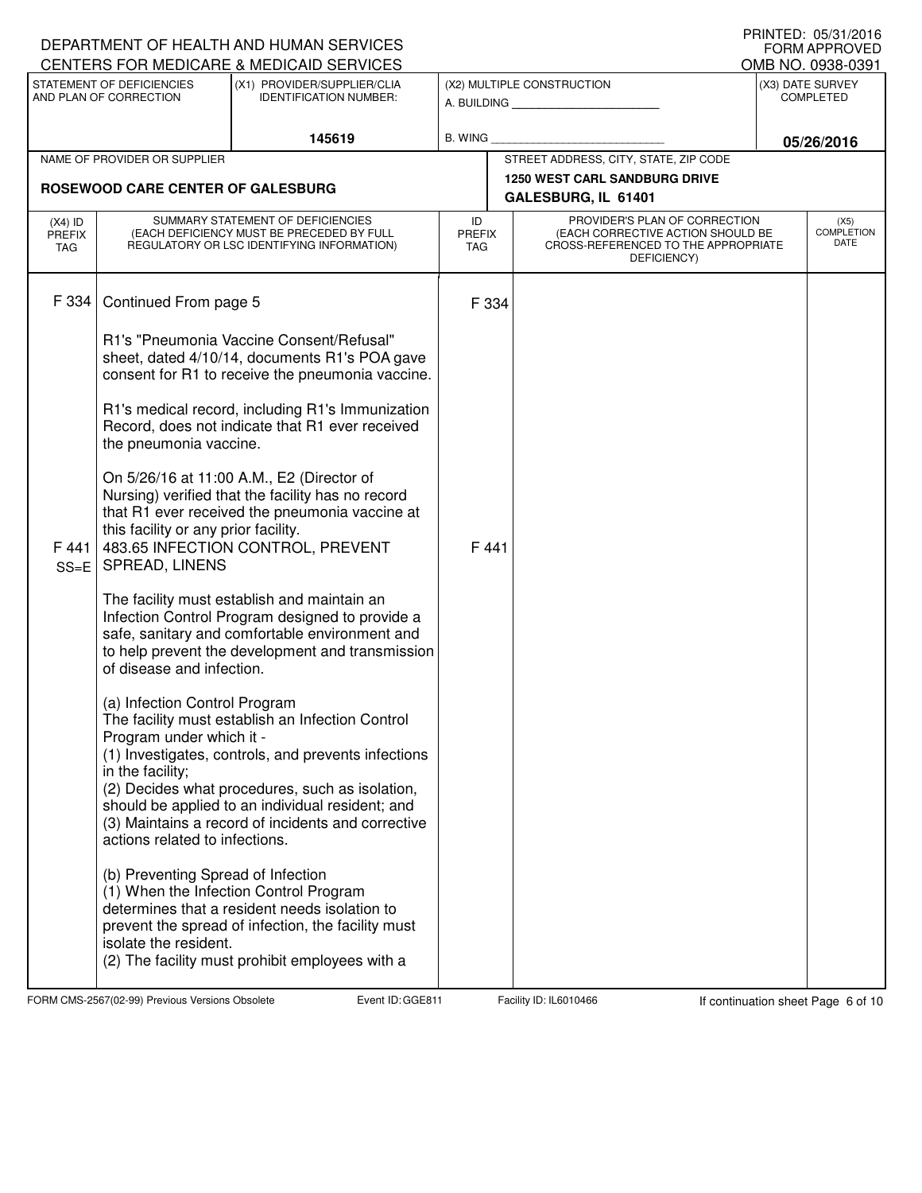|                                          |                                                                                                                 | DEPARTMENT OF HEALTH AND HUMAN SERVICES<br>CENTERS FOR MEDICARE & MEDICAID SERVICES                                                                                                                                                                                  |                                   |                                                                                                                          | I I IIII I LU. VJ/J I ZU I V<br><b>FORM APPROVED</b><br>OMB NO. 0938-0391 |
|------------------------------------------|-----------------------------------------------------------------------------------------------------------------|----------------------------------------------------------------------------------------------------------------------------------------------------------------------------------------------------------------------------------------------------------------------|-----------------------------------|--------------------------------------------------------------------------------------------------------------------------|---------------------------------------------------------------------------|
|                                          | STATEMENT OF DEFICIENCIES<br>AND PLAN OF CORRECTION                                                             | (X1) PROVIDER/SUPPLIER/CLIA<br><b>IDENTIFICATION NUMBER:</b>                                                                                                                                                                                                         |                                   | (X2) MULTIPLE CONSTRUCTION<br>A. BUILDING <b>A.</b> BUILDING                                                             | (X3) DATE SURVEY<br><b>COMPLETED</b>                                      |
|                                          |                                                                                                                 | 145619                                                                                                                                                                                                                                                               | B. WING                           |                                                                                                                          | 05/26/2016                                                                |
|                                          | NAME OF PROVIDER OR SUPPLIER                                                                                    |                                                                                                                                                                                                                                                                      |                                   | STREET ADDRESS, CITY, STATE, ZIP CODE                                                                                    |                                                                           |
|                                          | ROSEWOOD CARE CENTER OF GALESBURG                                                                               |                                                                                                                                                                                                                                                                      |                                   | <b>1250 WEST CARL SANDBURG DRIVE</b><br>GALESBURG, IL 61401                                                              |                                                                           |
| $(X4)$ ID<br><b>PREFIX</b><br><b>TAG</b> |                                                                                                                 | SUMMARY STATEMENT OF DEFICIENCIES<br>(EACH DEFICIENCY MUST BE PRECEDED BY FULL<br>REGULATORY OR LSC IDENTIFYING INFORMATION)                                                                                                                                         | ID<br><b>PREFIX</b><br><b>TAG</b> | PROVIDER'S PLAN OF CORRECTION<br>(EACH CORRECTIVE ACTION SHOULD BE<br>CROSS-REFERENCED TO THE APPROPRIATE<br>DEFICIENCY) | (X5)<br><b>COMPLETION</b><br>DATE                                         |
| F 334                                    | Continued From page 5                                                                                           |                                                                                                                                                                                                                                                                      | F 334                             |                                                                                                                          |                                                                           |
|                                          |                                                                                                                 | R1's "Pneumonia Vaccine Consent/Refusal"<br>sheet, dated 4/10/14, documents R1's POA gave<br>consent for R1 to receive the pneumonia vaccine.                                                                                                                        |                                   |                                                                                                                          |                                                                           |
|                                          | the pneumonia vaccine.                                                                                          | R1's medical record, including R1's Immunization<br>Record, does not indicate that R1 ever received                                                                                                                                                                  |                                   |                                                                                                                          |                                                                           |
| F441<br>$SS=E$                           | this facility or any prior facility.<br>SPREAD, LINENS                                                          | On 5/26/16 at 11:00 A.M., E2 (Director of<br>Nursing) verified that the facility has no record<br>that R1 ever received the pneumonia vaccine at<br>483.65 INFECTION CONTROL, PREVENT                                                                                | F 441                             |                                                                                                                          |                                                                           |
|                                          | of disease and infection.                                                                                       | The facility must establish and maintain an<br>Infection Control Program designed to provide a<br>safe, sanitary and comfortable environment and<br>to help prevent the development and transmission                                                                 |                                   |                                                                                                                          |                                                                           |
|                                          | (a) Infection Control Program<br>Program under which it -<br>in the facility;<br>actions related to infections. | The facility must establish an Infection Control<br>(1) Investigates, controls, and prevents infections<br>(2) Decides what procedures, such as isolation,<br>should be applied to an individual resident; and<br>(3) Maintains a record of incidents and corrective |                                   |                                                                                                                          |                                                                           |
|                                          | (b) Preventing Spread of Infection<br>isolate the resident.                                                     | (1) When the Infection Control Program<br>determines that a resident needs isolation to<br>prevent the spread of infection, the facility must<br>(2) The facility must prohibit employees with a                                                                     |                                   |                                                                                                                          |                                                                           |

FORM CMS-2567(02-99) Previous Versions Obsolete Event ID: GGE811 Facility ID: IL6010466 If continuation sheet Page 6 of 10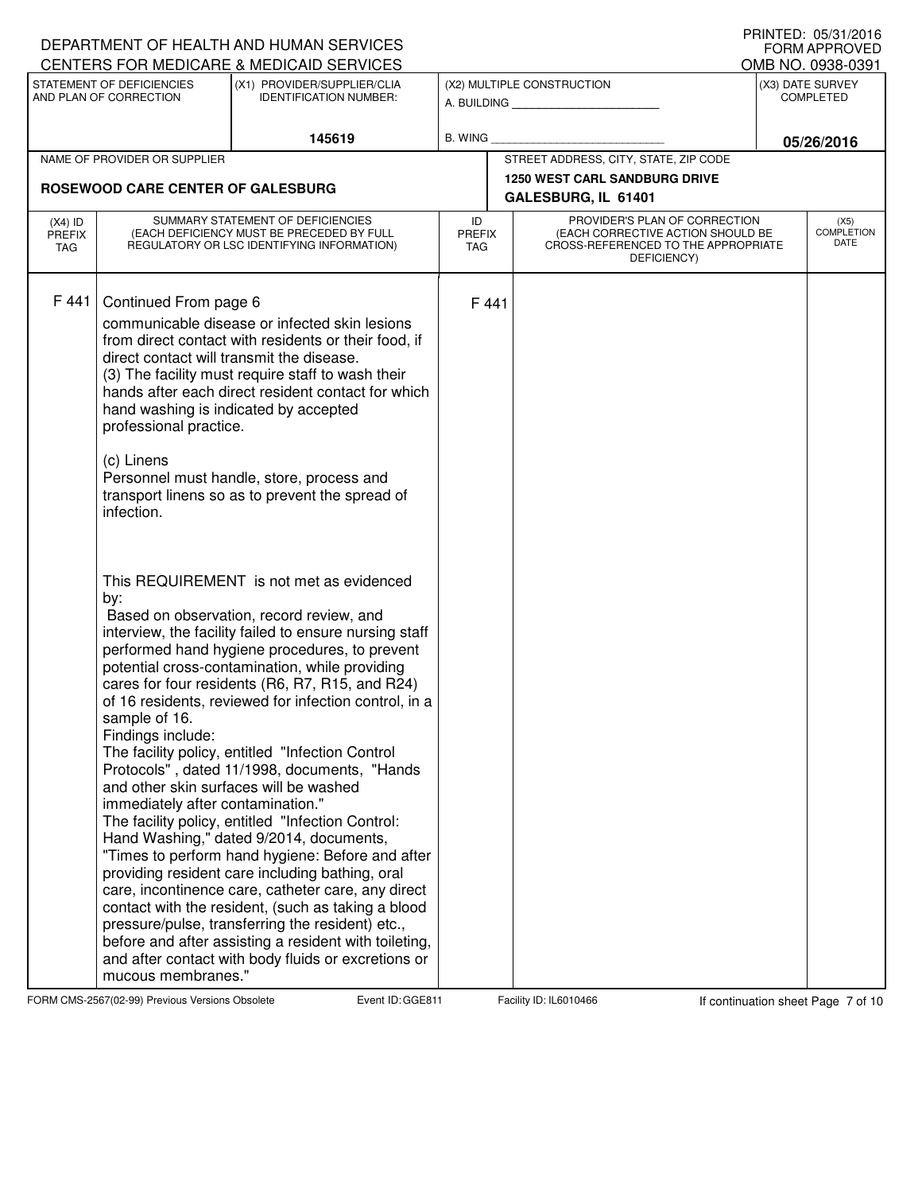|                                          |                                                                                                                                                                   | DEPARTMENT OF HEALTH AND HUMAN SERVICES<br>CENTERS FOR MEDICARE & MEDICAID SERVICES                                                                                                                                                                                                                                                                                                                                                                                                                                                                                                                                                                                                                                                                                                                                                                                                                                                                      |                                   |                                                              |                                                                                                                          |  | $1$ THISTLD. UJ/JI/LUTU<br><b>FORM APPROVED</b><br>OMB NO. 0938-0391 |
|------------------------------------------|-------------------------------------------------------------------------------------------------------------------------------------------------------------------|----------------------------------------------------------------------------------------------------------------------------------------------------------------------------------------------------------------------------------------------------------------------------------------------------------------------------------------------------------------------------------------------------------------------------------------------------------------------------------------------------------------------------------------------------------------------------------------------------------------------------------------------------------------------------------------------------------------------------------------------------------------------------------------------------------------------------------------------------------------------------------------------------------------------------------------------------------|-----------------------------------|--------------------------------------------------------------|--------------------------------------------------------------------------------------------------------------------------|--|----------------------------------------------------------------------|
|                                          | STATEMENT OF DEFICIENCIES<br>AND PLAN OF CORRECTION                                                                                                               | (X1) PROVIDER/SUPPLIER/CLIA<br><b>IDENTIFICATION NUMBER:</b>                                                                                                                                                                                                                                                                                                                                                                                                                                                                                                                                                                                                                                                                                                                                                                                                                                                                                             |                                   | (X2) MULTIPLE CONSTRUCTION<br>A. BUILDING <b>A.</b> BUILDING |                                                                                                                          |  | (X3) DATE SURVEY<br><b>COMPLETED</b>                                 |
|                                          |                                                                                                                                                                   | 145619                                                                                                                                                                                                                                                                                                                                                                                                                                                                                                                                                                                                                                                                                                                                                                                                                                                                                                                                                   | B. WING                           |                                                              |                                                                                                                          |  | 05/26/2016                                                           |
|                                          | NAME OF PROVIDER OR SUPPLIER                                                                                                                                      |                                                                                                                                                                                                                                                                                                                                                                                                                                                                                                                                                                                                                                                                                                                                                                                                                                                                                                                                                          |                                   |                                                              | STREET ADDRESS, CITY, STATE, ZIP CODE                                                                                    |  |                                                                      |
|                                          | ROSEWOOD CARE CENTER OF GALESBURG                                                                                                                                 |                                                                                                                                                                                                                                                                                                                                                                                                                                                                                                                                                                                                                                                                                                                                                                                                                                                                                                                                                          |                                   |                                                              | <b>1250 WEST CARL SANDBURG DRIVE</b><br>GALESBURG, IL 61401                                                              |  |                                                                      |
| $(X4)$ ID<br><b>PREFIX</b><br><b>TAG</b> |                                                                                                                                                                   | SUMMARY STATEMENT OF DEFICIENCIES<br>(EACH DEFICIENCY MUST BE PRECEDED BY FULL<br>REGULATORY OR LSC IDENTIFYING INFORMATION)                                                                                                                                                                                                                                                                                                                                                                                                                                                                                                                                                                                                                                                                                                                                                                                                                             | ID<br><b>PREFIX</b><br><b>TAG</b> |                                                              | PROVIDER'S PLAN OF CORRECTION<br>(EACH CORRECTIVE ACTION SHOULD BE<br>CROSS-REFERENCED TO THE APPROPRIATE<br>DEFICIENCY) |  | (X5)<br><b>COMPLETION</b><br>DATE                                    |
| F441                                     | Continued From page 6<br>direct contact will transmit the disease.<br>hand washing is indicated by accepted<br>professional practice.<br>(c) Linens<br>infection. | communicable disease or infected skin lesions<br>from direct contact with residents or their food, if<br>(3) The facility must require staff to wash their<br>hands after each direct resident contact for which<br>Personnel must handle, store, process and<br>transport linens so as to prevent the spread of                                                                                                                                                                                                                                                                                                                                                                                                                                                                                                                                                                                                                                         | F 441                             |                                                              |                                                                                                                          |  |                                                                      |
|                                          | by:<br>sample of 16.<br>Findings include:<br>and other skin surfaces will be washed<br>immediately after contamination."<br>mucous membranes."                    | This REQUIREMENT is not met as evidenced<br>Based on observation, record review, and<br>interview, the facility failed to ensure nursing staff<br>performed hand hygiene procedures, to prevent<br>potential cross-contamination, while providing<br>cares for four residents (R6, R7, R15, and R24)<br>of 16 residents, reviewed for infection control, in a<br>The facility policy, entitled "Infection Control<br>Protocols", dated 11/1998, documents, "Hands<br>The facility policy, entitled "Infection Control:<br>Hand Washing," dated 9/2014, documents,<br>"Times to perform hand hygiene: Before and after<br>providing resident care including bathing, oral<br>care, incontinence care, catheter care, any direct<br>contact with the resident, (such as taking a blood<br>pressure/pulse, transferring the resident) etc.,<br>before and after assisting a resident with toileting,<br>and after contact with body fluids or excretions or |                                   |                                                              |                                                                                                                          |  |                                                                      |

FORM CMS-2567(02-99) Previous Versions Obsolete Event ID: GGE811 Facility ID: IL6010466 If continuation sheet Page 7 of 10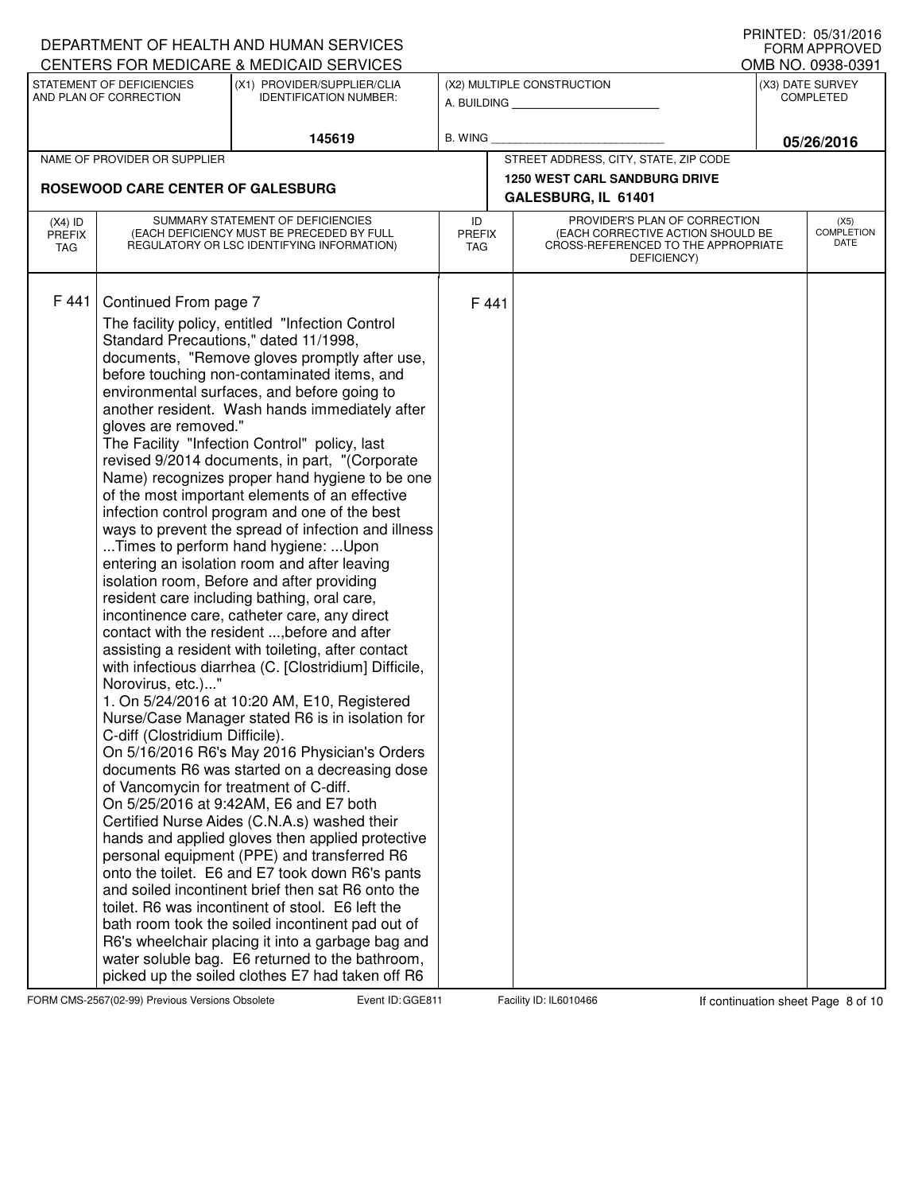|                                   |                                                                                                                                                 | DEPARTMENT OF HEALTH AND HUMAN SERVICES                                                                                                                                                                                                                                                                                                                                                                                                                                                                                                                                                                                                                                                                                                                                                                                                                                                                                                                                                                                                                                                                                                                                                                                                                                                                                                                                                                                                                                                                                                                                                                                                                                                                                                 |                                   |       |                                                                                                                          | I INIVILD. VJJJI/LVIV<br><b>FORM APPROVED</b> |
|-----------------------------------|-------------------------------------------------------------------------------------------------------------------------------------------------|-----------------------------------------------------------------------------------------------------------------------------------------------------------------------------------------------------------------------------------------------------------------------------------------------------------------------------------------------------------------------------------------------------------------------------------------------------------------------------------------------------------------------------------------------------------------------------------------------------------------------------------------------------------------------------------------------------------------------------------------------------------------------------------------------------------------------------------------------------------------------------------------------------------------------------------------------------------------------------------------------------------------------------------------------------------------------------------------------------------------------------------------------------------------------------------------------------------------------------------------------------------------------------------------------------------------------------------------------------------------------------------------------------------------------------------------------------------------------------------------------------------------------------------------------------------------------------------------------------------------------------------------------------------------------------------------------------------------------------------------|-----------------------------------|-------|--------------------------------------------------------------------------------------------------------------------------|-----------------------------------------------|
|                                   |                                                                                                                                                 | CENTERS FOR MEDICARE & MEDICAID SERVICES                                                                                                                                                                                                                                                                                                                                                                                                                                                                                                                                                                                                                                                                                                                                                                                                                                                                                                                                                                                                                                                                                                                                                                                                                                                                                                                                                                                                                                                                                                                                                                                                                                                                                                |                                   |       |                                                                                                                          | OMB NO. 0938-0391                             |
|                                   | STATEMENT OF DEFICIENCIES<br>AND PLAN OF CORRECTION                                                                                             | (X1) PROVIDER/SUPPLIER/CLIA<br><b>IDENTIFICATION NUMBER:</b>                                                                                                                                                                                                                                                                                                                                                                                                                                                                                                                                                                                                                                                                                                                                                                                                                                                                                                                                                                                                                                                                                                                                                                                                                                                                                                                                                                                                                                                                                                                                                                                                                                                                            |                                   |       | (X2) MULTIPLE CONSTRUCTION<br>A. BUILDING                                                                                | (X3) DATE SURVEY<br><b>COMPLETED</b>          |
|                                   |                                                                                                                                                 | 145619                                                                                                                                                                                                                                                                                                                                                                                                                                                                                                                                                                                                                                                                                                                                                                                                                                                                                                                                                                                                                                                                                                                                                                                                                                                                                                                                                                                                                                                                                                                                                                                                                                                                                                                                  | B. WING                           |       |                                                                                                                          | 05/26/2016                                    |
|                                   | NAME OF PROVIDER OR SUPPLIER                                                                                                                    |                                                                                                                                                                                                                                                                                                                                                                                                                                                                                                                                                                                                                                                                                                                                                                                                                                                                                                                                                                                                                                                                                                                                                                                                                                                                                                                                                                                                                                                                                                                                                                                                                                                                                                                                         |                                   |       | STREET ADDRESS, CITY, STATE, ZIP CODE                                                                                    |                                               |
|                                   | ROSEWOOD CARE CENTER OF GALESBURG                                                                                                               |                                                                                                                                                                                                                                                                                                                                                                                                                                                                                                                                                                                                                                                                                                                                                                                                                                                                                                                                                                                                                                                                                                                                                                                                                                                                                                                                                                                                                                                                                                                                                                                                                                                                                                                                         |                                   |       | <b>1250 WEST CARL SANDBURG DRIVE</b><br>GALESBURG, IL 61401                                                              |                                               |
|                                   |                                                                                                                                                 |                                                                                                                                                                                                                                                                                                                                                                                                                                                                                                                                                                                                                                                                                                                                                                                                                                                                                                                                                                                                                                                                                                                                                                                                                                                                                                                                                                                                                                                                                                                                                                                                                                                                                                                                         |                                   |       |                                                                                                                          |                                               |
| $(X4)$ ID<br><b>PREFIX</b><br>TAG |                                                                                                                                                 | SUMMARY STATEMENT OF DEFICIENCIES<br>(EACH DEFICIENCY MUST BE PRECEDED BY FULL<br>REGULATORY OR LSC IDENTIFYING INFORMATION)                                                                                                                                                                                                                                                                                                                                                                                                                                                                                                                                                                                                                                                                                                                                                                                                                                                                                                                                                                                                                                                                                                                                                                                                                                                                                                                                                                                                                                                                                                                                                                                                            | ID<br><b>PREFIX</b><br><b>TAG</b> |       | PROVIDER'S PLAN OF CORRECTION<br>(EACH CORRECTIVE ACTION SHOULD BE<br>CROSS-REFERENCED TO THE APPROPRIATE<br>DEFICIENCY) | (X5)<br><b>COMPLETION</b><br>DATE             |
| F441                              | Continued From page 7<br>gloves are removed."<br>Norovirus, etc.)"<br>C-diff (Clostridium Difficile).<br>of Vancomycin for treatment of C-diff. | The facility policy, entitled "Infection Control<br>Standard Precautions," dated 11/1998,<br>documents, "Remove gloves promptly after use,<br>before touching non-contaminated items, and<br>environmental surfaces, and before going to<br>another resident. Wash hands immediately after<br>The Facility "Infection Control" policy, last<br>revised 9/2014 documents, in part, "(Corporate<br>Name) recognizes proper hand hygiene to be one<br>of the most important elements of an effective<br>infection control program and one of the best<br>ways to prevent the spread of infection and illness<br>Times to perform hand hygiene: Upon<br>entering an isolation room and after leaving<br>isolation room, Before and after providing<br>resident care including bathing, oral care,<br>incontinence care, catheter care, any direct<br>contact with the resident , before and after<br>assisting a resident with toileting, after contact<br>with infectious diarrhea (C. [Clostridium] Difficile,<br>1. On 5/24/2016 at 10:20 AM, E10, Registered<br>Nurse/Case Manager stated R6 is in isolation for<br>On 5/16/2016 R6's May 2016 Physician's Orders<br>documents R6 was started on a decreasing dose<br>On 5/25/2016 at 9:42AM, E6 and E7 both<br>Certified Nurse Aides (C.N.A.s) washed their<br>hands and applied gloves then applied protective<br>personal equipment (PPE) and transferred R6<br>onto the toilet. E6 and E7 took down R6's pants<br>and soiled incontinent brief then sat R6 onto the<br>toilet. R6 was incontinent of stool. E6 left the<br>bath room took the soiled incontinent pad out of<br>R6's wheelchair placing it into a garbage bag and<br>water soluble bag. E6 returned to the bathroom, |                                   | F 441 |                                                                                                                          |                                               |
|                                   |                                                                                                                                                 | picked up the soiled clothes E7 had taken off R6                                                                                                                                                                                                                                                                                                                                                                                                                                                                                                                                                                                                                                                                                                                                                                                                                                                                                                                                                                                                                                                                                                                                                                                                                                                                                                                                                                                                                                                                                                                                                                                                                                                                                        |                                   |       |                                                                                                                          |                                               |

FORM CMS-2567(02-99) Previous Versions Obsolete Event ID: GGE811 Facility ID: IL6010466 If continuation sheet Page 8 of 10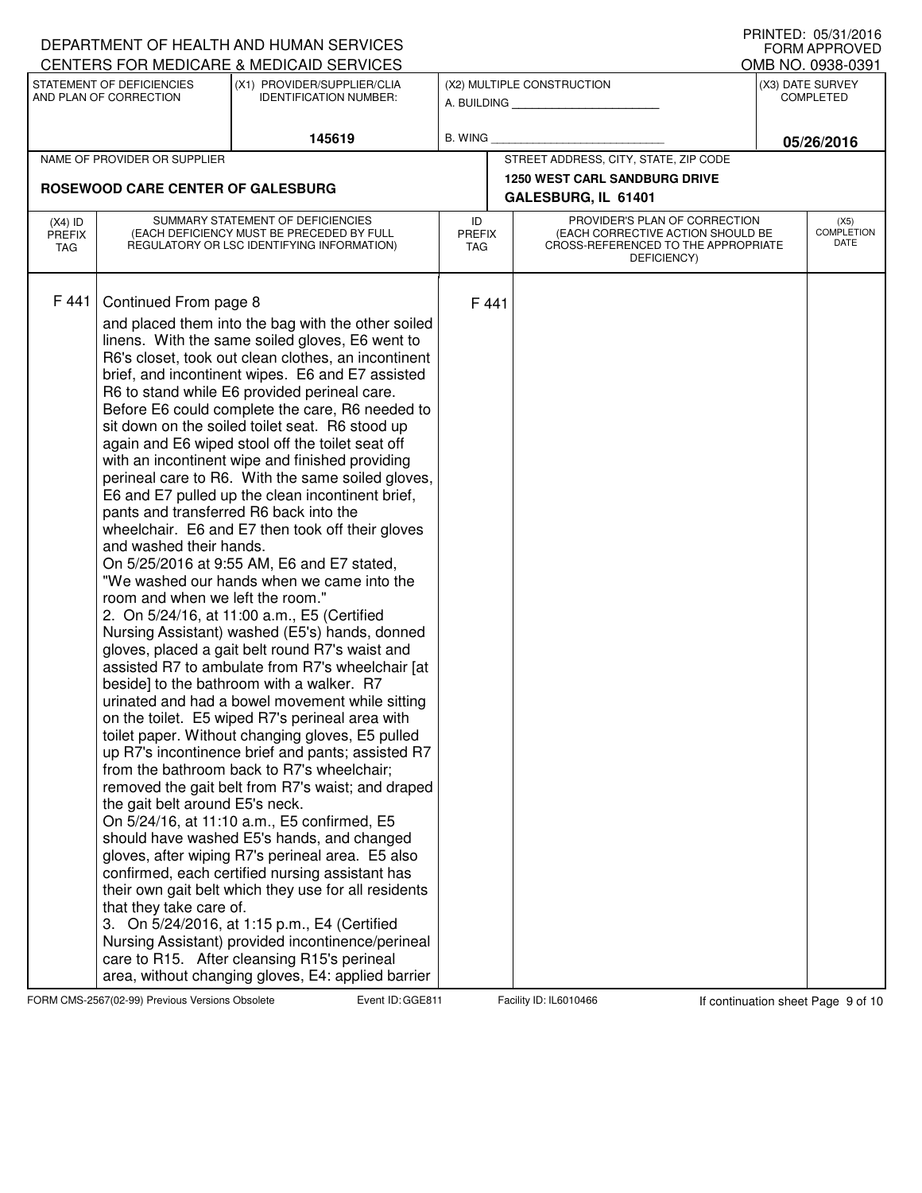|                                   |                                                                                                                                                    | DEPARTMENT OF HEALTH AND HUMAN SERVICES<br>CENTERS FOR MEDICARE & MEDICAID SERVICES                                                                                                                                                                                                                                                                                                                                                                                                                                                                                                                                                                                                                                                                                                                                                                                                                                                                                                                                                                                                                                                                                                                                                                                                                                                                                                                                                                                                                                                                                                                                                                                                                                                                                                                                           |                                   |       |                                                                                                                          |  | I INIVILD. VJJJI/LVIV<br><b>FORM APPROVED</b><br>OMB NO. 0938-0391 |
|-----------------------------------|----------------------------------------------------------------------------------------------------------------------------------------------------|-------------------------------------------------------------------------------------------------------------------------------------------------------------------------------------------------------------------------------------------------------------------------------------------------------------------------------------------------------------------------------------------------------------------------------------------------------------------------------------------------------------------------------------------------------------------------------------------------------------------------------------------------------------------------------------------------------------------------------------------------------------------------------------------------------------------------------------------------------------------------------------------------------------------------------------------------------------------------------------------------------------------------------------------------------------------------------------------------------------------------------------------------------------------------------------------------------------------------------------------------------------------------------------------------------------------------------------------------------------------------------------------------------------------------------------------------------------------------------------------------------------------------------------------------------------------------------------------------------------------------------------------------------------------------------------------------------------------------------------------------------------------------------------------------------------------------------|-----------------------------------|-------|--------------------------------------------------------------------------------------------------------------------------|--|--------------------------------------------------------------------|
|                                   | STATEMENT OF DEFICIENCIES<br>AND PLAN OF CORRECTION                                                                                                | (X1) PROVIDER/SUPPLIER/CLIA<br><b>IDENTIFICATION NUMBER:</b>                                                                                                                                                                                                                                                                                                                                                                                                                                                                                                                                                                                                                                                                                                                                                                                                                                                                                                                                                                                                                                                                                                                                                                                                                                                                                                                                                                                                                                                                                                                                                                                                                                                                                                                                                                  |                                   |       | (X2) MULTIPLE CONSTRUCTION<br>A. BUILDING                                                                                |  | (X3) DATE SURVEY<br><b>COMPLETED</b>                               |
|                                   |                                                                                                                                                    | 145619                                                                                                                                                                                                                                                                                                                                                                                                                                                                                                                                                                                                                                                                                                                                                                                                                                                                                                                                                                                                                                                                                                                                                                                                                                                                                                                                                                                                                                                                                                                                                                                                                                                                                                                                                                                                                        | B. WING                           |       |                                                                                                                          |  | 05/26/2016                                                         |
|                                   | NAME OF PROVIDER OR SUPPLIER                                                                                                                       |                                                                                                                                                                                                                                                                                                                                                                                                                                                                                                                                                                                                                                                                                                                                                                                                                                                                                                                                                                                                                                                                                                                                                                                                                                                                                                                                                                                                                                                                                                                                                                                                                                                                                                                                                                                                                               |                                   |       | STREET ADDRESS, CITY, STATE, ZIP CODE                                                                                    |  |                                                                    |
|                                   |                                                                                                                                                    |                                                                                                                                                                                                                                                                                                                                                                                                                                                                                                                                                                                                                                                                                                                                                                                                                                                                                                                                                                                                                                                                                                                                                                                                                                                                                                                                                                                                                                                                                                                                                                                                                                                                                                                                                                                                                               |                                   |       | <b>1250 WEST CARL SANDBURG DRIVE</b>                                                                                     |  |                                                                    |
|                                   | ROSEWOOD CARE CENTER OF GALESBURG                                                                                                                  |                                                                                                                                                                                                                                                                                                                                                                                                                                                                                                                                                                                                                                                                                                                                                                                                                                                                                                                                                                                                                                                                                                                                                                                                                                                                                                                                                                                                                                                                                                                                                                                                                                                                                                                                                                                                                               | GALESBURG, IL 61401               |       |                                                                                                                          |  |                                                                    |
| $(X4)$ ID<br><b>PREFIX</b><br>TAG |                                                                                                                                                    | SUMMARY STATEMENT OF DEFICIENCIES<br>(EACH DEFICIENCY MUST BE PRECEDED BY FULL<br>REGULATORY OR LSC IDENTIFYING INFORMATION)                                                                                                                                                                                                                                                                                                                                                                                                                                                                                                                                                                                                                                                                                                                                                                                                                                                                                                                                                                                                                                                                                                                                                                                                                                                                                                                                                                                                                                                                                                                                                                                                                                                                                                  | ID<br><b>PREFIX</b><br><b>TAG</b> |       | PROVIDER'S PLAN OF CORRECTION<br>(EACH CORRECTIVE ACTION SHOULD BE<br>CROSS-REFERENCED TO THE APPROPRIATE<br>DEFICIENCY) |  | (X5)<br><b>COMPLETION</b><br>DATE                                  |
| F 441                             | Continued From page 8<br>and washed their hands.<br>room and when we left the room."<br>the gait belt around E5's neck.<br>that they take care of. | and placed them into the bag with the other soiled<br>linens. With the same soiled gloves, E6 went to<br>R6's closet, took out clean clothes, an incontinent<br>brief, and incontinent wipes. E6 and E7 assisted<br>R6 to stand while E6 provided perineal care.<br>Before E6 could complete the care, R6 needed to<br>sit down on the soiled toilet seat. R6 stood up<br>again and E6 wiped stool off the toilet seat off<br>with an incontinent wipe and finished providing<br>perineal care to R6. With the same soiled gloves,<br>E6 and E7 pulled up the clean incontinent brief,<br>pants and transferred R6 back into the<br>wheelchair. E6 and E7 then took off their gloves<br>On 5/25/2016 at 9:55 AM, E6 and E7 stated,<br>"We washed our hands when we came into the<br>2. On 5/24/16, at 11:00 a.m., E5 (Certified<br>Nursing Assistant) washed (E5's) hands, donned<br>gloves, placed a gait belt round R7's waist and<br>assisted R7 to ambulate from R7's wheelchair [at<br>beside] to the bathroom with a walker. R7<br>urinated and had a bowel movement while sitting<br>on the toilet. E5 wiped R7's perineal area with<br>toilet paper. Without changing gloves, E5 pulled<br>up R7's incontinence brief and pants; assisted R7<br>from the bathroom back to R7's wheelchair;<br>removed the gait belt from R7's waist; and draped<br>On 5/24/16, at 11:10 a.m., E5 confirmed, E5<br>should have washed E5's hands, and changed<br>gloves, after wiping R7's perineal area. E5 also<br>confirmed, each certified nursing assistant has<br>their own gait belt which they use for all residents<br>3. On 5/24/2016, at 1:15 p.m., E4 (Certified<br>Nursing Assistant) provided incontinence/perineal<br>care to R15. After cleansing R15's perineal<br>area, without changing gloves, E4: applied barrier |                                   | F 441 |                                                                                                                          |  |                                                                    |

FORM CMS-2567(02-99) Previous Versions Obsolete Event ID: GGE811 Facility ID: IL6010466 If continuation sheet Page 9 of 10